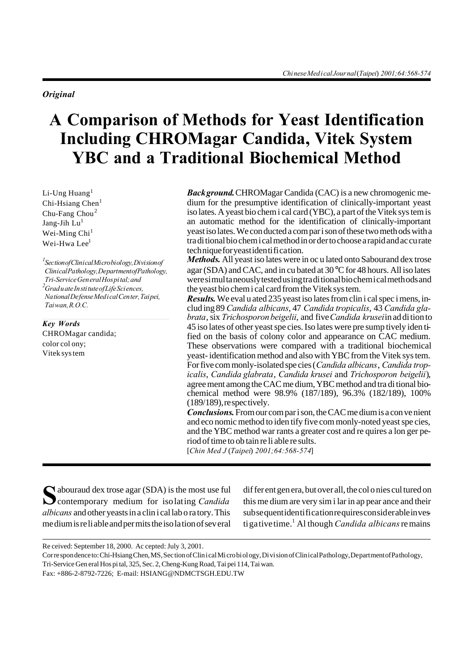*Orig i nal*

# A Comparison of Methods for Yeast Identification **Including CHROMagar Candida, Vitek System YBC and a Traditional Biochemical Method**

Li-Ung Huang $<sup>1</sup>$ </sup>  $Chi-Hsiang Chen<sup>1</sup>$ Chu-Fang Chou<sup>2</sup> Jang-Jih  $Lu<sup>1</sup>$ Wei-Ming Chi<sup>1</sup> Wei-Hwa Lee<sup>1</sup>

*1 Sec tion of Clin i cal Mi cro bi ol ogy, Di vi sion of Clin i cal Pa thol ogy, De part ment of Pa thol ogy, Tri-Service Gen eral Hos pi tal; and <sup>2</sup>Grad u ate In sti tute of Life Sci ences, Na tional De fense Med i cal Cen ter, Tai pei, Tai wan, R.O.C.*

*Key Words* CHROMagar candida; color col ony; Vitek sys tem

*Back ground.* CHROMagar Candida (CAC) is a new chromogenic me dium for the presumptive identification of clinically-important yeast iso lates. A yeast bio chem i cal card (YBC), a part of the Vitek sys tem is an automatic method for the identification of clinically-important yeast iso lates. We con ducted a com par i son of these two meth ods with a tra di tional bio chem i cal method in or der to choose a rapid and ac cu rate tech nique for yeast iden ti fi ca tion.

*Methods.* All yeast iso lates were in oc u lated onto Sabourand dex trose agar (SDA) and CAC, and in cu bated at 30 °C for 48 hours. All iso lates were si mul ta neously tested us ing tra di tional bio chem i cal meth ods and the yeast bio chem i cal card from the Vitek sys tem.

*Results.* We eval u ated 235 yeast iso lates from clin i cal spec i mens, includ ing 89 *Candida albicans*, 47 *Candida tropicalis*, 43 *Candida gla brata*, six *Trichosporon beigelii*, and five *Candida krusei* in ad di tion to 45 iso lates of other yeast spe cies. Iso lates were pre sump tively iden ti fied on the basis of colony color and appearance on CAC medium. These observations were compared with a traditional biochemical yeast- identification method and also with YBC from the Vitek sys tem. For five com monly-isolated spe cies (*Candida albicans*, *Candida trop icalis*, *Candida glabrata*, *Candida krusei* and *Trichosporon beigelii*), agree ment among the CAC me dium, YBC method and tra di tional bio chemical method were 98.9% (187/189), 96.3% (182/189), 100%  $(189/189)$ , re spectively.

*Con clu sions.* From our com par i son, the CAC me dium is a con ve nient and eco nomic method to iden tify five com monly-noted yeast spe cies, and the YBC method war rants a greater cost and requires a lon ger period of time to ob tain re li able re sults.

[*Chin Med J* (*Tai pei*) *2001;64:568-574*]

S
abouraud dex trose agar (SDA) is the most use full<br> **S**contemporary medium for isolating *Candida*  $\bigcap$  abouraud dex trose agar (SDA) is the most use ful *albicans* and other yeasts in a clin i cal lab o ra tory. This me dium is re li able and per mits the iso la tion of sev eral

dif fer ent gen era, but over all, the col o nies cul tured on this me dium are very sim i lar in ap pear ance and their sub sequent identification requires considerable in vesti ga tive time.<sup>1</sup> Al though *Candida albicans* re mains

Re ceived: September 18, 2000. Ac cepted: July 3, 2001.

Cor re spon dence to: Chi-Hsiang Chen, MS, Sec tion of Clin i cal Mi cro bi ol ogy, Di vi sion of Clin i cal Pa thol ogy, De part ment of Pa thol ogy,

Tri-Service Gen eral Hos pi tal, 325, Sec. 2, Cheng-Kung Road, Tai pei 114, Tai wan.

Fax: +886-2-8792-7226; E-mail: HSIANG@NDMCTSGH.EDU.TW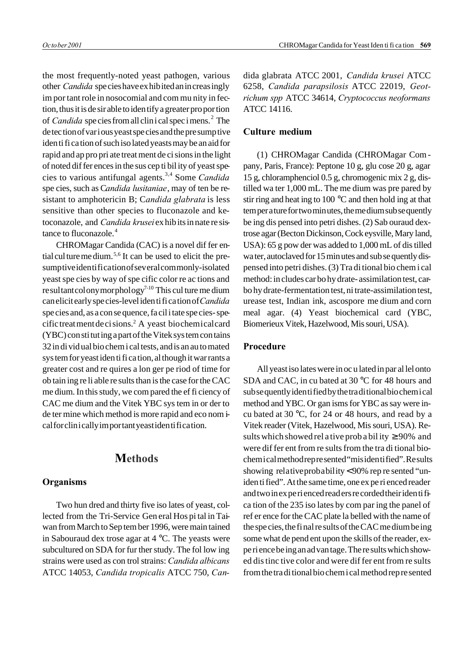the most frequently-noted yeast pathogen, various other *Candida* spe cies have ex hib ited an in creas ingly im por tant role in nosocomial and com mu nity in fection, thus it is de sir able to iden tify a greater pro por tion of *Candida* species from all clinical specimens.<sup>2</sup> The de tec tion of var i ous yeast spe cies and the pre sump tive iden ti fi ca tion of such iso lated yeasts may be an aid for rapid and ap pro pri ate treat ment de ci sions in the light of noted dif fer ences in the sus cep ti bil ity of yeast spe cies to various antifungal agents.<sup>3,4</sup> Some *Candida* spe cies, such as *Candida lusitaniae*, may of ten be resistant to amphotericin B; Candida glabrata is less sensitive than other species to fluconazole and ketoconazole, and *Candida krusei* ex hib its in nate re sistance to fluconazole.<sup>4</sup>

CHROMagar Candida (CAC) is a novel dif fer ential cul ture me dium.<sup>5,6</sup> It can be used to elicit the presumptive identification of several commonly-isolated yeast spe cies by way of spe cific color re ac tions and re sultant colony morphology<sup>7-10</sup> This culture me dium can elicit early spe cies-level iden ti fi ca tion of *Candida* spe cies and, as a con se quence, fa cil i tate spe cies-specific treat ment de ci sions.<sup>2</sup> A yeast biochemical card (YBC) con sti tut ing a part of the Vitek sys tem con tains 32 in di vid ual bio chem i cal tests, and is an au to mated sys tem for yeast iden ti fi ca tion, al though it war rants a greater cost and re quires a lon ger pe riod of time for ob tain ing re li able re sults than is the case for the CAC me dium. In this study, we com pared the ef fi ciency of CAC me dium and the Vitek YBC sys tem in or der to de ter mine which method is more rapid and eco nom ical for clinically important yeast identification.

# **Methods**

## **Or gan isms**

Two hun dred and thirty five iso lates of yeast, collected from the Tri-Service Gen eral Hos pi tal in Taiwan from March to Sep tem ber 1996, were main tained in Sabouraud dex trose agar at 4 °C. The yeasts were subcultured on SDA for fur ther study. The fol low ing strains were used as con trol strains: *Candida albicans* ATCC 14053, *Candida tropicalis* ATCC 750, *Can -*

dida glabrata ATCC 2001, *Candida krusei* ATCC 6258, *Candida parapsilosis* ATCC 22019, *Geot richum spp* ATCC 34614, *Cryptococcus neoformans* ATCC 14116.

## **Cul ture me dium**

(1) CHROMagar Candida (CHROMagar Com pany, Paris, France): Peptone 10 g, glu cose 20 g, agar 15 g, chloramphenciol 0.5 g, chromogenic mix 2 g, dis tilled wa ter 1,000 mL. The me dium was pre pared by stir ring and heat ing to 100 °C and then hold ing at that tem per a ture for two min utes, the me dium sub se quently be ing dis pensed into petri dishes. (2) Sab ouraud dex trose agar (Becton Dickinson, Cock eysville, Mary land, USA): 65 g pow der was added to 1,000 mL of dis tilled wa ter, autoclaved for 15 min utes and sub se quently dispensed into petri dishes. (3) Tra di tional bio chem i cal method: in cludes car bo hy drate-assimilation test, carbo hy drate-fermentation test, ni trate-assimilation test, urease test, Indian ink, ascospore me dium and corn meal agar. (4) Yeast biochemical card (YBC, Biomerieux Vitek, Hazelwood, Mis souri, USA).

### **Procedure**

All yeast iso lates were in oc u lated in par al lel onto SDA and CAC, in cu bated at 30 °C for 48 hours and sub se quently iden ti fied by the tra di tional bio chem i cal method and YBC. Or gan isms for YBC as say were incu bated at 30 °C, for 24 or 48 hours, and read by a Vitek reader (Vitek, Hazelwood, Mis souri, USA). Re sults which showed rel a tive probability  $\geq 90\%$  and were dif fer ent from re sults from the tra di tional biochemical method represented "misidentified". Results showing relative probability < 90% rep re sented "uniden ti fied". At the same time, one ex pe ri enced reader and two in experienced read ers recorded their iden ti fica tion of the 235 iso lates by com par ing the panel of ref er ence for the CAC plate la belled with the name of the spe cies, the fi nal re sults of the CAC me dium be ing some what de pend ent upon the skills of the reader, expe ri ence be ing an ad van tage. The re sults which show ed dis tinc tive color and were dif fer ent from re sults from the tra di tional bio chem i cal method rep re sented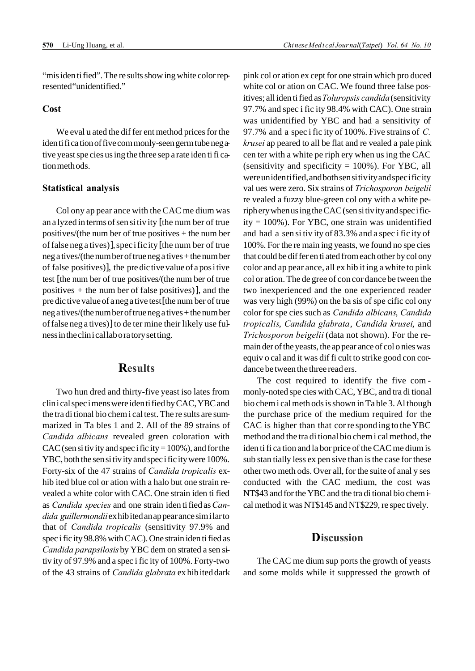"mis iden ti fied". The re sults show ing white color represented "unidentified."

## **Cost**

We eval u ated the dif fer ent method prices for the iden ti fi ca tion of five com monly-seen germ tube neg ative yeast spe cies us ing the three sep a rate iden ti fi cation meth ods.

## **Statistical analysis**

Col ony ap pear ance with the CAC me dium was an a lyzed in terms of sen si tiv ity [the num ber of true positives/(the num ber of true positives  $+$  the num ber of false neg a tives)], spec i fic ity [the num ber of true neg a tives/(the num ber of true neg a tives + the num ber of false positives)], the pre dic tive value of a pos i tive test [the num ber of true positives/(the num ber of true positives + the num ber of false positives)], and the pre dic tive value of a neg a tive test [the num ber of true neg a tives/(the num ber of true neg a tives + the num ber of false neg a tives)] to de ter mine their likely use ful ness in the clin i cal lab o ra tory set ting.

## **Re sults**

Two hun dred and thirty-five yeast iso lates from clin i cal spec i mens were iden ti fied by CAC, YBC and the tra di tional bio chem i cal test. The re sults are summa rized in Ta bles 1 and 2. All of the 89 strains of Candida albicans revealed green coloration with CAC (sen si tiv ity and spec i fic ity =  $100\%$ ), and for the YBC, both the sen si tiv ity and spec i fic ity were 100%. Forty-six of the 47 strains of *Candida tropicalis* ex hib ited blue col or ation with a halo but one strain revealed a white color with CAC. One strain iden ti fied as *Candida spe cies* and one strain iden ti fied as *Can dida guillermondii* ex hib ited an ap pear ance sim i lar to that of *Candida tropicalis* (sensitivity 97.9% and spec i fic ity 98.8% with CAC). One strain iden ti fied as Candida parapsilosis by YBC dem on strated a sen sitiv ity of 97.9% and a spec i fic ity of 100%. Forty-two of the 43 strains of *Candida glabrata* ex hib ited dark

pink col or ation ex cept for one strain which pro duced white col or ation on CAC. We found three false positives; all iden ti fied as *Toluropsis candida* (sensitivity 97.7% and spec i fic ity 98.4% with CAC). One strain was unidentified by YBC and had a sensitivity of 97.7% and a spec i fic ity of 100%. Five strains of *C. krusei* ap peared to all be flat and re vealed a pale pink cen ter with a white pe riph ery when us ing the CAC (sensitivity and specificity  $= 100\%$ ). For YBC, all were un iden ti fied, and both sen si tiv ity and spec i fic ity val ues were zero. Six strains of *Trichosporon beigelii* re vealed a fuzzy blue-green col ony with a white periph ery when us ing the CAC (sen si tiv ity and spec i fic ity  $= 100\%$ ). For YBC, one strain was unidentified and had a sen si tiv ity of 83.3% and a spec i fic ity of 100%. For the re main ing yeasts, we found no spe cies that could be dif fer en ti ated from each other by col ony color and ap pear ance, all ex hib it ing a white to pink col or ation. The de gree of con cor dance be tween the two in experienced and the one experienced reader was very high (99%) on the ba sis of spe cific col ony color for spe cies such as *Candida albicans*, *Candida tropicalis*, *Candida glabrata*, *Candida krusei*, and *Trichosporon beigelii* (data not shown). For the remain der of the yeasts, the ap pear ance of col o nies was equiv o cal and it was dif fi cult to strike good con cordance be tween the three read ers.

The cost required to identify the five commonly-noted spe cies with CAC, YBC, and tra di tional bio chem i cal meth ods is shown in Ta ble 3. Al though the purchase price of the medium required for the CAC is higher than that cor re spond ing to the YBC method and the tra di tional bio chem i cal method, the iden ti fi ca tion and la bor price of the CAC me dium is sub stan tially less ex pen sive than is the case for these other two meth ods. Over all, for the suite of anal y ses conducted with the CAC medium, the cost was NT\$43 and for the YBC and the tra di tional bio chemical method it was NT\$145 and NT\$229, re spec tively.

# **Dis cus sion**

The CAC me dium sup ports the growth of yeasts and some molds while it suppressed the growth of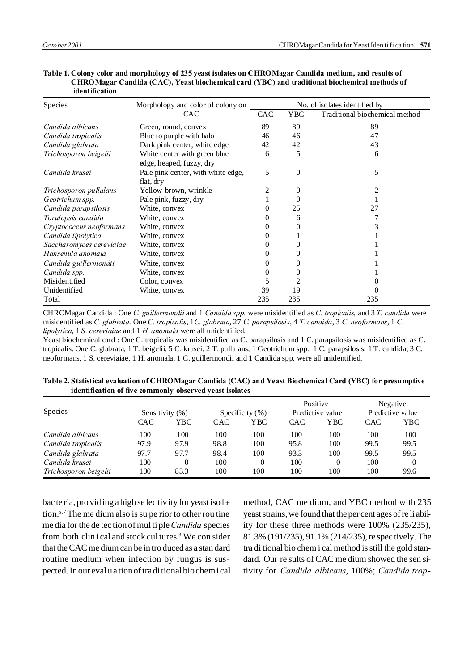| Species                  | Morphology and color of colony on                        | No. of isolates identified by |            |                                |  |
|--------------------------|----------------------------------------------------------|-------------------------------|------------|--------------------------------|--|
|                          | <b>CAC</b>                                               | <b>CAC</b>                    | <b>YBC</b> | Traditional biochemical method |  |
| Candida albicans         | Green, round, convex                                     | 89                            | 89         | 89                             |  |
| Candida tropicalis       | Blue to purple with halo                                 | 46                            | 46         | 47                             |  |
| Candida glabrata         | Dark pink center, white edge                             | 42                            | 42         | 43                             |  |
| Trichosporon beigelii    | White center with green blue<br>edge, heaped, fuzzy, dry | 6                             | 5          | 6                              |  |
| Candida krusei           | Pale pink center, with white edge,<br>flat, dry          | 5                             | $\Omega$   | 5                              |  |
| Trichosporon pullalans   | Yellow-brown, wrinkle                                    |                               | 0          |                                |  |
| Geotrichum spp.          | Pale pink, fuzzy, dry                                    |                               | $\theta$   |                                |  |
| Candida parapsilosis     | White, convex                                            |                               | 25         | 27                             |  |
| Torulopsis candida       | White, convex                                            |                               | 6          |                                |  |
| Cryptococcus neoformans  | White, convex                                            |                               |            |                                |  |
| Candida lipolytica       | White, convex                                            |                               |            |                                |  |
| Saccharomyces cereviaiae | White, convex                                            |                               |            |                                |  |
| Hansenula anomala        | White, convex                                            |                               | 0          |                                |  |
| Candida guillermondii    | White, convex                                            |                               | $\theta$   |                                |  |
| Candida spp.             | White, convex                                            |                               |            |                                |  |
| Misidentified            | Color, convex                                            | C.                            |            |                                |  |
| Unidentified             | White, convex                                            | 39                            | 19         |                                |  |
| Total                    |                                                          | 235                           | 235        | 235                            |  |

**Table 1. Colony color and morphology of 235 yeast isolates on CHROMagar Candida medium, and results of CHROMagar Candida (CAC), Yeast biochemical card (YBC) and traditional biochemical methods of identification**

CHROMagar Candida : One *C. guillermondii* and 1 *Candida spp.* were misidentified as *C. tropicalis*, and 3 *T. candida* were misidentified as *C. glabrata*. One *C. tropicalis*, 1*C. glabrata*, 27 *C. parapsilosis*, 4 *T. candida*, 3 *C. neoformans*, 1 *C. lipolytica*, 1 *S. cereviaiae* and 1 *H. anomala* were all unidentified.

Yeast biochemical card : One C. tropicalis was misidentified as C. parapsilosis and 1 C. parapsilosis was misidentified as C. tropicalis. One C. glabrata, 1 T. beigelii, 5 C. krusei, 2 T. pullalans, 1 Geotrichum spp., 1 C. parapsilosis, 1 T. candida, 3 C. neoformans, 1 S. cereviaiae, 1 H. anomala, 1 C. guillermondii and 1 Candida spp. were all unidentified.

|                       |            |                    |            |                     | Positive<br>Predictive value |     | Negative         |      |
|-----------------------|------------|--------------------|------------|---------------------|------------------------------|-----|------------------|------|
| <b>Species</b>        |            | Sensitivity $(\%)$ |            | Specificity $(\% )$ |                              |     | Predictive value |      |
|                       | <b>CAC</b> | YBC                | <b>CAC</b> | YBC                 | CAC                          | YBC | <b>CAC</b>       | YBC  |
| Candida albicans      | 100        | 100                | 100        | 100                 | 100                          | 100 | 100              | 100  |
| Candida tropicalis    | 97.9       | 97.9               | 98.8       | 100                 | 95.8                         | 100 | 99.5             | 99.5 |
| Candida glabrata      | 97.7       | 97.7               | 98.4       | 100                 | 93.3                         | 100 | 99.5             | 99.5 |
| Candida krusei        | 100        | $\Omega$           | 100        | 0                   | 100                          |     | 100              | 0    |
| Trichosporon beigelii | 100        | 83.3               | 100        | 100                 | 100                          | 100 | 100              | 99.6 |

**Table 2. Statistical evaluation of CHROMagar Candida (CAC) and Yeast Biochemical Card (YBC) for presumptive identification of five commonly-observed yeast isolates**

bac te ria, pro vid ing a high se lec tiv ity for yeast iso la tion.5,7 The me dium also is su pe rior to other rou tine me dia for the de tec tion of mul ti ple *Candida* species from both clinical and stock cultures.<sup>3</sup> We con sider that the CAC me dium can be in tro duced as a stan dard routine medium when infection by fungus is suspected. In our eval u a tion of tra di tional bio chem i cal method, CAC me dium, and YBC method with 235 yeast strains, we found that the per cent ages of re li ability for these three methods were  $100\%$  (235/235), 81.3% (191/235), 91.1% (214/235), re spec tively. The tra di tional bio chem i cal method is still the gold stan dard. Our re sults of CAC me dium showed the sen sitivity for *Candida albicans*, 100%; *Candida trop-*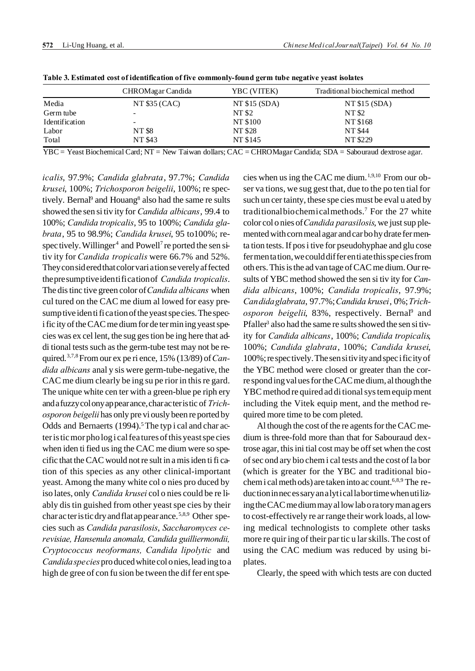|                | CHROMagar Candida | YBC (VITEK)   | Traditional biochemical method |
|----------------|-------------------|---------------|--------------------------------|
| Media          | NT \$35 (CAC)     | NT \$15 (SDA) | NT $$15(SDA)$                  |
| Germ tube      | $\sim$            | NT \$2        | NT \$2                         |
| Identification |                   | NT \$100      | NT \$168                       |
| Labor          | NT \$8            | NT \$28       | <b>NT \$44</b>                 |
| Total          | NT \$43           | NT \$145      | NT \$229                       |

**Table 3. Estimated cost of identification of five commonly-found germ tube negative yeast isolates**

YBC = Yeast Biochemical Card; NT = New Taiwan dollars; CAC = CHROMagar Candida; SDA = Sabouraud dextrose agar.

*icalis*, 97.9%; *Candida glabrata*, 97.7%; *Candida krusei*, 100%; *Trichosporon beigelii*, 100%; re spec tively. Bernal<sup>9</sup> and Houang<sup>8</sup> also had the same re sults showed the sen si tiv ity for *Candida albicans*, 99.4 to 100%; *Candida tropicalis*, 95 to 100%; *Candida gla brata*, 95 to 98.9%; *Candida krusei*, 95 to100%; re spec tively. Willinger<sup>4</sup> and Powell<sup>7</sup> reported the sen sitiv ity for *Candida tropicalis* were 66.7% and 52%. They con sid ered that color vari a tion se verely af fected the pre sump tive iden ti fi ca tion of *Candida tropicalis*. The dis tinc tive green color of *Candida albicans* when cul tured on the CAC me dium al lowed for easy presump tive iden ti fi ca tion of the yeast spe cies. The spec i fic ity of the CAC me dium for de ter min ing yeast species was ex cel lent, the sug ges tion be ing here that addi tional tests such as the germ-tube test may not be required.3,7,8 From our ex pe ri ence, 15% (13/89) of *Can dida albicans* anal y sis were germ-tube-negative, the CAC me dium clearly be ing su pe rior in this re gard. The unique white cen ter with a green-blue pe riph ery and a fuzzy col ony ap pear ance, char ac ter is tic of *Trich osporon beigelii* has only pre vi ously been re ported by Odds and Bernaerts (1994).<sup>5</sup> The typ i cal and char acter is tic mor pho log i cal fea tures of this yeast spe cies when iden ti fied us ing the CAC me dium were so specific that the CAC would not re sult in a mis iden ti fi ca tion of this species as any other clinical-important yeast. Among the many white col o nies pro duced by iso lates, only *Candida krusei* col o nies could be re liably dis tin guished from other yeast spe cies by their char ac ter is tic dry and flat ap pear ance.<sup>5,8,9</sup> Other species such as *Candida parasilosis*, *Saccharomyces ce revisiae, Hansenula anomala, Candida guilliermondii, Cryptococcus neoformans, Candida lipolytic* and *Candida spe cies* pro duced white col o nies, lead ing to a high de gree of con fu sion be tween the differ ent species when us ing the CAC me dium.<sup>1,9,10</sup> From our obser va tions, we sug gest that, due to the po ten tial for such un cer tainty, these spe cies must be eval u ated by traditional biochemical methods.<sup>7</sup> For the 27 white color col o nies of *Candida parasilosis*, we just sup plemented with corn meal agar and car bo hy drate fer menta tion tests. If pos i tive for pseudohyphae and glu cose fer men ta tion, we could dif fer en ti ate this spe cies from oth ers. This is the ad van tage of CAC me dium. Our results of YBC method showed the sen si tiv ity for *Can dida albicans*, 100%; *Candida tropicalis*, 97.9%; *Can dida glabrata*, 97.7%; *Candida krusei*, 0%; *Trich*  osporon beigelii, 83%, respectively. Bernal<sup>9</sup> and Pfaller<sup>3</sup> also had the same re sults showed the sen si tivity for *Candida albicans*, 100%; *Candida tropicalis*, 100%; *Candida glabrata*, 100%; *Candida krusei*, 100%; re spec tively. The sen si tiv ity and spec i fic ity of the YBC method were closed or greater than the corre spond ing val ues for the CAC me dium, al though the YBC method re quired ad di tional sys tem equip ment including the Vitek equip ment, and the method required more time to be com pleted.

Al though the cost of the re agents for the CAC medium is three-fold more than that for Sabouraud dex trose agar, this ini tial cost may be off set when the cost of sec ond ary bio chem i cal tests and the cost of la bor (which is greater for the YBC and traditional biochem i cal meth ods) are taken into ac count.<sup>6,8,9</sup> The reduc tion in neces sary an a lytical labor time when uti lizing the CAC me dium may al low lab o ra tory man ag ers to cost-effectively re ar range their work loads, al lowing medical technologists to complete other tasks more re quir ing of their par tic u lar skills. The cost of using the CAC medium was reduced by using biplates.

Clearly, the speed with which tests are con ducted